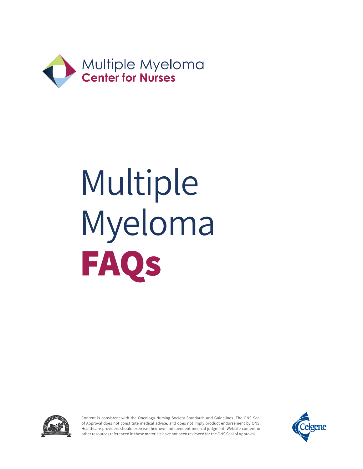



Content is consistent with the Oncology Nursing Society Standards and Guidelines. The ONS Seal of Approval does not constitute medical advice, and does not imply product endorsement by ONS. Healthcare providers should exercise their own independent medical judgment. Website content or other resources referenced in these materials have not been reviewed for the ONS Seal of Approval.

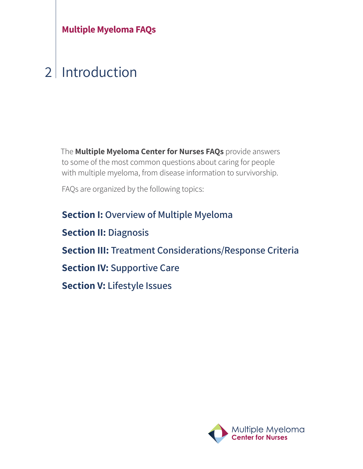### $\overline{\mathcal{L}}$ Introduction

The **Multiple Myeloma Center for Nurses FAQs** provide answers to some of the most common questions about caring for people with multiple myeloma, from disease information to survivorship.

FAQs are organized by the following topics:

**Section I: Overview of Multiple Myeloma Section II: Diagnosis Section III: Treatment Considerations/Response Criteria Section IV: Supportive Care Section V: Lifestyle Issues** 

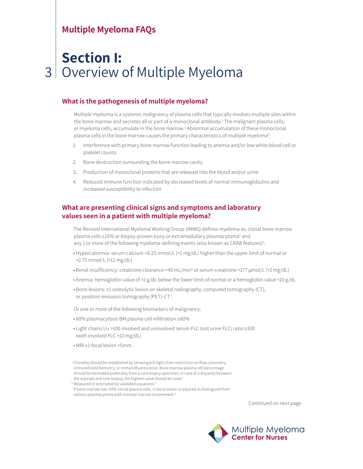### 3 **Section I:** Overview of Multiple Myeloma

#### **What is the pathogenesis of multiple myeloma?**

Multiple myeloma is a systemic malignancy of plasma cells that typically involves multiple sites within the bone marrow and secretes all or part of a monoclonal antibody.<sup>1</sup> The malignant plasma cells, or myeloma cells, accumulate in the bone marrow.<sup>2</sup> Abnormal accumulation of these monoclonal plasma cells in the bone marrow causes the primary characteristics of multiple myeloma<sup>2</sup>:

- 1. Interference with primary bone marrow function leading to anemia and/or low white blood cell or platelet counts
- 2. Bone destruction surrounding the bone marrow cavity
- 3. Production of monoclonal proteins that are released into the blood and/or urine
- 4. Reduced immune function indicated by decreased levels of normal immunoglobulins and increased susceptibility to infection

### **What are presenting clinical signs and symptoms and laboratory values seen in a patient with multiple myeloma?**

The Revised International Myeloma Working Group (IMWG) defines myeloma as: clonal bone marrow plasma cells ≥10% or biopsy-proven bony or extramedullary plasmacytoma<sup>a</sup> and any 1 or more of the following myeloma-defining events (also known as CRAB features)<sup>3</sup>:

- Hypercalcemia: serum calcium >0.25 mmol/L (>1 mg/dL) higher than the upper limit of normal or >2.75 mmol/L (>11 mg/dL)
- Renal insufficiency: creatinine clearance <40 mL/min<sup>b</sup> or serum creatinine >177 µmol/L (>2 mg/dL)
- Anemia: hemoglobin value of >2 g/dL below the lower limit of normal or a hemoglobin value <10 g/dL
- Bone lesions: ≥1 osteolytic lesion on skeletal radiography, computed tomography (CT), or positron emission tomography (PET)-CT.<sup>c</sup>

Or one or more of the following biomarkers of malignancy:

- 60% plasmacytosis BM plasma cell infiltration ≥60%
- Light chains l/u >100 involved and uninvolved serum FLC (not urine FLC) ratio ≥100 (with involved FLC >10 mg/dL)
- MRI ≥1 focal lesion >5mm.



<sup>&</sup>lt;sup>a</sup> Clonality should be established by showing  $κ/λ$  light chain restriction on flow cytometry, immunohistochemistry, or immunofluorescence. Bone marrow plasma cell percentage should be estimated preferably from a core biopsy specimen; in case of a disparity between the aspirate and core biopsy, the highest value should be used.<sup>3</sup>

**b** Measured or estimated by validated equations.<sup>3</sup>

<sup>c</sup> If bone marrow has <10% clonal plasma cells, >1 bone lesion is required to distinguish from solitary plasmacytoma with minimal marrow involvement.<sup>3</sup>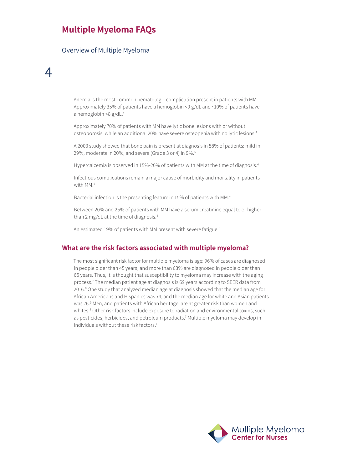Overview of Multiple Myeloma

Anemia is the most common hematologic complication present in patients with MM. Approximately 35% of patients have a hemoglobin <9 g/dL and ~10% of patients have a hemoglobin <8  $g/dL$ .<sup>4</sup>

Approximately 70% of patients with MM have lytic bone lesions with or without osteoporosis, while an additional 20% have severe osteopenia with no lytic lesions.<sup>4</sup>

A 2003 study showed that bone pain is present at diagnosis in 58% of patients: mild in 29%, moderate in 20%, and severe (Grade 3 or 4) in 9%.5

Hypercalcemia is observed in 15%-20% of patients with MM at the time of diagnosis.<sup>4</sup>

Infectious complications remain a major cause of morbidity and mortality in patients with MM.<sup>4</sup>

Bacterial infection is the presenting feature in 15% of patients with MM.<sup>4</sup>

Between 20% and 25% of patients with MM have a serum creatinine equal to or higher than 2 mg/dL at the time of diagnosis.<sup>4</sup>

An estimated 19% of patients with MM present with severe fatigue.<sup>6</sup>

#### **What are the risk factors associated with multiple myeloma?**

The most significant risk factor for multiple myeloma is age: 96% of cases are diagnosed in people older than 45 years, and more than 63% are diagnosed in people older than 65 years. Thus, it is thought that susceptibility to myeloma may increase with the aging process.7 The median patient age at diagnosis is 69 years according to SEER data from 2016.<sup>8</sup> One study that analyzed median age at diagnosis showed that the median age for African Americans and Hispanics was 74, and the median age for white and Asian patients was 76.<sup>9</sup> Men, and patients with African heritage, are at greater risk than women and whites.<sup>8</sup> Other risk factors include exposure to radiation and environmental toxins, such as pesticides, herbicides, and petroleum products.7 Multiple myeloma may develop in individuals without these risk factors.<sup>7</sup>

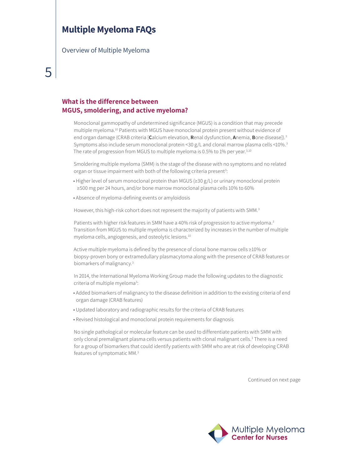Overview of Multiple Myeloma

### **What is the difference between MGUS, smoldering, and active myeloma?**

Monoclonal gammopathy of undetermined significance (MGUS) is a condition that may precede multiple myeloma.10 Patients with MGUS have monoclonal protein present without evidence of end organ damage (CRAB criteria [**C**alcium elevation, **R**enal dysfunction, **A**nemia, **B**one disease]).3 Symptoms also include serum monoclonal protein <30 g/L and clonal marrow plasma cells <10%.<sup>3</sup> The rate of progression from MGUS to multiple myeloma is 0.5% to 1% per year.<sup>3,10</sup>

Smoldering multiple myeloma (SMM) is the stage of the disease with no symptoms and no related organ or tissue impairment with both of the following criteria present<sup>3</sup>:

- Higher level of serum monoclonal protein than MGUS (≥30 g/L) or urinary monoclonal protein ≥500 mg per 24 hours, and/or bone marrow monoclonal plasma cells 10% to 60%
- Absence of myeloma-defining events or amyloidosis

However, this high-risk cohort does not represent the majority of patients with SMM.<sup>3</sup>

Patients with higher risk features in SMM have a 40% risk of progression to active myeloma.<sup>3</sup> Transition from MGUS to multiple myeloma is characterized by increases in the number of multiple myeloma cells, angiogenesis, and osteolytic lesions.<sup>10</sup>

Active multiple myeloma is defined by the presence of clonal bone marrow cells ≥10% or biopsy-proven bony or extramedullary plasmacytoma along with the presence of CRAB features or biomarkers of malignancy.3

In 2014, the International Myeloma Working Group made the following updates to the diagnostic criteria of multiple myeloma<sup>3</sup>:

- Added biomarkers of malignancy to the disease definition in addition to the existing criteria of end organ damage (CRAB features)
- Updated laboratory and radiographic results for the criteria of CRAB features
- Revised histological and monoclonal protein requirements for diagnosis

No single pathological or molecular feature can be used to differentiate patients with SMM with only clonal premalignant plasma cells versus patients with clonal malignant cells.<sup>3</sup> There is a need for a group of biomarkers that could identify patients with SMM who are at risk of developing CRAB features of symptomatic MM.3

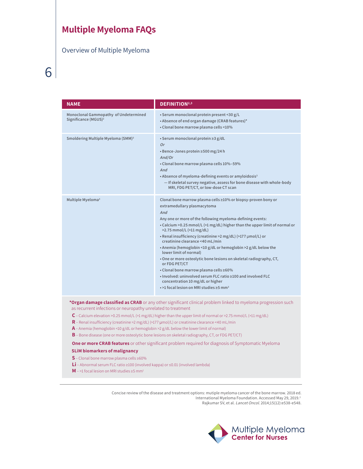Overview of Multiple Myeloma

| <b>NAME</b>                                                               | <b>DEFINITION</b> <sup>2,3</sup>                                                                                                                                                                                                                                                                                                                                                                                                                                                                                                                                                                                                                                                                                                                                                  |
|---------------------------------------------------------------------------|-----------------------------------------------------------------------------------------------------------------------------------------------------------------------------------------------------------------------------------------------------------------------------------------------------------------------------------------------------------------------------------------------------------------------------------------------------------------------------------------------------------------------------------------------------------------------------------------------------------------------------------------------------------------------------------------------------------------------------------------------------------------------------------|
| Monoclonal Gammopathy of Undetermined<br>Significance (MGUS) <sup>2</sup> | · Serum monoclonal protein present <30 g/L<br>• Absence of end organ damage (CRAB features)*<br>• Clonal bone marrow plasma cells <10%                                                                                                                                                                                                                                                                                                                                                                                                                                                                                                                                                                                                                                            |
| Smoldering Multiple Myeloma (SMM) <sup>3</sup>                            | • Serum monoclonal protein ≥3 g/dL<br>0r<br>• Bence-Jones protein ≥500 mg/24 h<br>And/Or<br>• Clonal bone marrow plasma cells 10%-59%<br>And<br>• Absence of myeloma-defining events or amyloidosis <sup>3</sup><br>- If skeletal survey negative, assess for bone disease with whole-body<br>MRI, FDG PET/CT, or low-dose CT scan                                                                                                                                                                                                                                                                                                                                                                                                                                                |
| Multiple Myeloma <sup>3</sup>                                             | Clonal bone marrow plasma cells ≥10% or biopsy-proven bony or<br>extramedullary plasmacytoma<br>And<br>Any one or more of the following myeloma-defining events:<br>• Calcium > 0.25 mmol/L (>1 mg/dL) higher than the upper limit of normal or<br>$>2.75$ mmol/L ( $>11$ mg/dL)<br>• Renal insufficiency (creatinine > 2 mg/dL) (>177 umol/L) or<br>creatinine clearance <40 mL/min<br>• Anemia (hemoglobin <10 g/dL or hemoglobin >2 g/dL below the<br>lower limit of normal)<br>. One or more osteolytic bone lesions on skeletal radiography, CT,<br>or FDG PET/CT<br>• Clonal bone marrow plasma cells ≥60%<br>• Involved: uninvolved serum FLC ratio ≥100 and involved FLC<br>concentration 10 mg/dL or higher<br>$\cdot$ >1 focal lesion on MRI studies >5 mm <sup>3</sup> |

**\*Organ damage classified as CRAB** or any other significant clinical problem linked to myeloma progression such as recurrent infections or neuropathy unrelated to treatment

- **C** Calcium elevation >0.25 mmol/L (>1 mg/dL) higher than the upper limit of normal or >2.75 mmol/L (>11 mg/dL)
- **R** Renal insufficiency (creatinine >2 mg/dL) (>177 μmol/L) or creatinine clearance <40 mL/min
- **A** Anemia (hemoglobin <10 g/dL or hemoglobin >2 g/dL below the lower limit of normal)
- **B** Bone disease (one or more osteolytic bone lesions on skeletal radiography, CT, or FDG PET/CT)

**One or more CRAB features** or other significant problem required for diagnosis of Symptomatic Myeloma

#### **SLiM biomarkers of malignancy**

- **S** Clonal bone marrow plasma cells ≥60%
- **Li** Abnormal serum FLC ratio ≥100 (involved kappa) or ≤0.01 (involved lambda)
- **M** >1 focal lesion on MRI studies ≥5 mm<sup>1</sup>

Concise review of the disease and treatment options: mutiple myeloma cancer of the bone marrow. 2018 ed. International Myeloma Foundation. Accessed May 29, 2019.<sup>2</sup> Rajkumar SV, et al. Lancet Oncol. 2014;15(12):e538-e548.

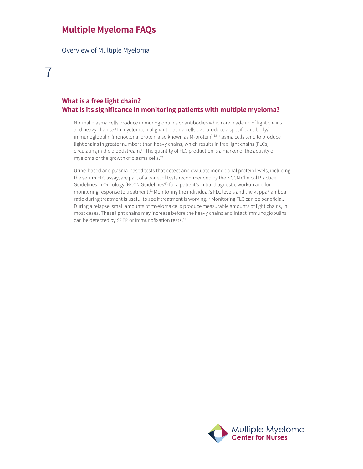Overview of Multiple Myeloma

### **What is a free light chain? What is its significance in monitoring patients with multiple myeloma?**

Normal plasma cells produce immunoglobulins or antibodies which are made up of light chains and heavy chains.<sup>12</sup> In myeloma, malignant plasma cells overproduce a specific antibody/ immunoglobulin (monoclonal protein also known as M-protein).<sup>12</sup> Plasma cells tend to produce light chains in greater numbers than heavy chains, which results in free light chains (FLCs) circulating in the bloodstream.<sup>12</sup> The quantity of FLC production is a marker of the activity of myeloma or the growth of plasma cells.<sup>12</sup>

Urine-based and plasma-based tests that detect and evaluate monoclonal protein levels, including the serum FLC assay, are part of a panel of tests recommended by the NCCN Clinical Practice Guidelines in Oncology (NCCN Guidelines®) for a patient's initial diagnostic workup and for monitoring response to treatment.11 Monitoring the individual's FLC levels and the kappa/lambda ratio during treatment is useful to see if treatment is working.<sup>12</sup> Monitoring FLC can be beneficial. During a relapse, small amounts of myeloma cells produce measurable amounts of light chains, in most cases. These light chains may increase before the heavy chains and intact immunoglobulins can be detected by SPEP or immunofixation tests.<sup>12</sup>

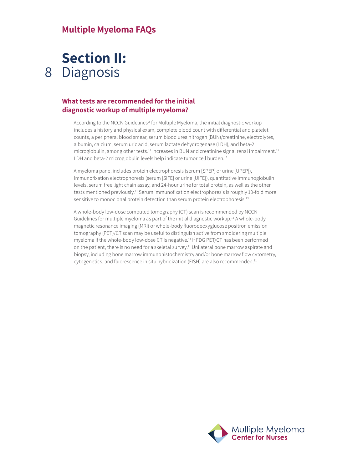### 8 **Section II:** Diagnosis

### **What tests are recommended for the initial diagnostic workup of multiple myeloma?**

According to the NCCN Guidelines® for Multiple Myeloma, the initial diagnostic workup includes a history and physical exam, complete blood count with differential and platelet counts, a peripheral blood smear, serum blood urea nitrogen (BUN)/creatinine, electrolytes, albumin, calcium, serum uric acid, serum lactate dehydrogenase (LDH), and beta-2 microglobulin, among other tests.<sup>11</sup> Increases in BUN and creatinine signal renal impairment.<sup>11</sup> LDH and beta-2 microglobulin levels help indicate tumor cell burden.<sup>11</sup>

A myeloma panel includes protein electrophoresis (serum [SPEP] or urine [UPEP]), immunofixation electrophoresis (serum [SIFE] or urine [UIFE]), quantitative immunoglobulin levels, serum free light chain assay, and 24-hour urine for total protein, as well as the other tests mentioned previously.11 Serum immunofixation electrophoresis is roughly 10-fold more sensitive to monoclonal protein detection than serum protein electrophoresis.<sup>13</sup>

A whole-body low-dose computed tomography (CT) scan is recommended by NCCN Guidelines for multiple myeloma as part of the initial diagnostic workup.11 A whole-body magnetic resonance imaging (MRI) or whole-body fluorodeoxyglucose positron emission tomography (PET)/CT scan may be useful to distinguish active from smoldering multiple myeloma if the whole-body low-dose CT is negative.11 If FDG PET/CT has been performed on the patient, there is no need for a skeletal survey.<sup>11</sup> Unilateral bone marrow aspirate and biopsy, including bone marrow immunohistochemistry and/or bone marrow flow cytometry, cytogenetics, and fluorescence in situ hybridization (FISH) are also recommended.<sup>11</sup>

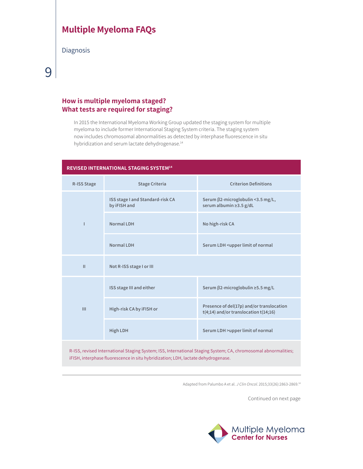Diagnosis

# 9

### **How is multiple myeloma staged? What tests are required for staging?**

In 2015 the International Myeloma Working Group updated the staging system for multiple myeloma to include former International Staging System criteria. The staging system now includes chromosomal abnormalities as detected by interphase fluorescence in situ hybridization and serum lactate dehydrogenase.<sup>14</sup>

# **REVISED INTERNATIONAL STAGING SYSTEM14 R-ISS Stage Stage Criteria Criterion Definitions I ISS stage I and Standard-risk CA by iFISH and Serum** β**2-microglobulin <3.5 mg/L, serum albumin ≥3.5 g/dL Normal LDH No high-risk CA Normal LDH Normal LDH Serum LDH** <upper limit of normal **II Not R-ISS stage I or III III ISS stage III and either Serum β2-microglobulin ≥5.5 mg/L High-risk CA by iFISH or Presence of del(17p) and/or translocation**<br>  $\frac{1}{2}$  **Presence of del(17p) and/or translocation t(4;14) and/or translocation t(14;16) High LDH Serum LDH >upper limit of normal**

R-ISS, revised International Staging System; ISS, International Staging System; CA, chromosomal abnormalities; iFISH, interphase fluorescence in situ hybridization; LDH, lactate dehydrogenase.

Adapted from Palumbo A et al. J Clin Oncol. 2015;33(26):2863-2869.<sup>14</sup>

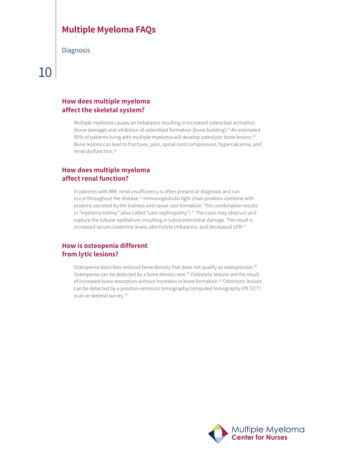**Diagnosis** 

# 10

### **How does multiple myeloma affect the skeletal system?**

Multiple myeloma causes an imbalance resulting in increased osteoclast activation (bone damage) and inhibition of osteoblast formation (bone building).15 An estimated 90% of patients living with multiple myeloma will develop osteolytic bone lesions.<sup>16</sup> Bone lesions can lead to fractures, pain, spinal cord compression, hypercalcemia, and renal dysfunction.16

### **How does multiple myeloma affect renal function?**

In patients with MM, renal insufficiency is often present at diagnosis and can occur throughout the disease.<sup>17</sup> Immunoglobulin light chain proteins combine with proteins secreted by the kidneys and cause cast formation. This combination results in "myeloma kidney" (also called "cast nephropathy").<sup>17</sup> The casts may obstruct and rupture the tubular epithelium, resulting in tubulointerstitial damage. The result is increased serum creatinine levels, electrolyte imbalance, and decreased GFR.<sup>17</sup>

### **How is osteopenia different from lytic lesions?**

Osteopenia describes reduced bone density that does not qualify as osteoporosis.<sup>18</sup> Osteopenia can be detected by a bone density test.<sup>19</sup> Osteolytic lesions are the result of increased bone resorption without increases in bone formation.19 Osteolytic lesions can be detected by a positron emission tomography/computed tomography (PET/CT) scan or skeletal survey.<sup>19</sup>

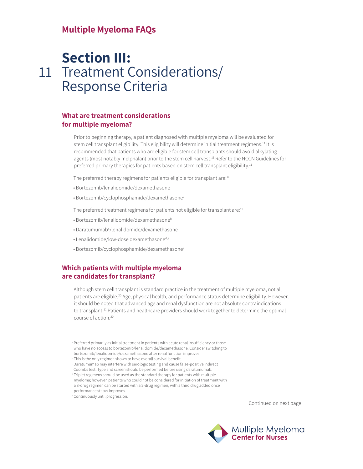# 11 Treatment Considerations/ **Section III:**  Response Criteria

#### **What are treatment considerations for multiple myeloma?**

Prior to beginning therapy, a patient diagnosed with multiple myeloma will be evaluated for stem cell transplant eligibility. This eligibility will determine initial treatment regimens.<sup>11</sup> It is recommended that patients who are eligible for stem cell transplants should avoid alkylating agents (most notably melphalan) prior to the stem cell harvest.<sup>11</sup> Refer to the NCCN Guidelines for preferred primary therapies for patients based on stem cell transplant eligibility.<sup>11</sup>

The preferred therapy regimens for patients eligible for transplant are:<sup>11</sup>

- Bortezomib/lenalidomide/dexamethasone
- Bortezomib/cyclophosphamide/dexamethasone<sup>a</sup>

The preferred treatment regimens for patients not eligible for transplant are:<sup>11</sup>

- Bortezomib/lenalidomide/dexamethasone<sup>b</sup>
- Daratumumab<sup>c</sup>/lenalidomide/dexamethasone
- Lenalidomide/low-dose dexamethasone<sup>d,e</sup>
- Bortezomib/cyclophosphamide/dexamethasone<sup>a</sup>

### **Which patients with multiple myeloma are candidates for transplant?**

Although stem cell transplant is standard practice in the treatment of multiple myeloma, not all patients are eligible.<sup>20</sup> Age, physical health, and performance status determine eligibility. However, it should be noted that advanced age and renal dysfunction are not absolute contraindications to transplant.<sup>11</sup> Patients and healthcare providers should work together to determine the optimal course of action.<sup>20</sup>

- <sup>a</sup> Preferred primarily as initial treatment in patients with acute renal insufficiency or those who have no access to bortezomib/lenalidomide/dexamethasone. Consider switching to bortezomib/lenalidomide/dexamethasone after renal function improves.
- <sup>b</sup> This is the only regimen shown to have overall survival benefit.
- <sup>c</sup> Daratumumab may interfere with serologic testing and cause false-positive indirect Coombs test. Type and screen should be performed before using daratumumab.

<sup>d</sup> Triplet regimens should be used as the standard therapy for patients with multiple myeloma; however, patients who could not be considered for initiation of treatment with a 3-drug regimen can be started with a 2-drug regimen, with a third drug added once performance status improves.

<sup>e</sup> Continuously until progression.

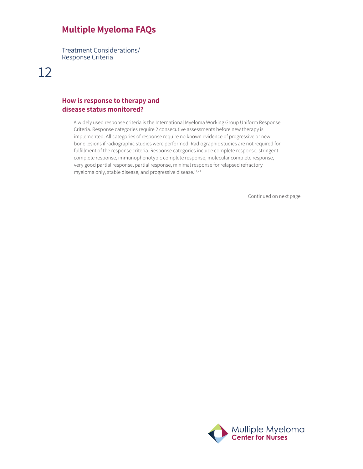Treatment Considerations/ Response Criteria

# 12

#### **How is response to therapy and disease status monitored?**

A widely used response criteria is the International Myeloma Working Group Uniform Response Criteria. Response categories require 2 consecutive assessments before new therapy is implemented. All categories of response require no known evidence of progressive or new bone lesions if radiographic studies were performed. Radiographic studies are not required for fulfillment of the response criteria. Response categories include complete response, stringent complete response, immunophenotypic complete response, molecular complete response, very good partial response, partial response, minimal response for relapsed refractory myeloma only, stable disease, and progressive disease.<sup>11,21</sup>

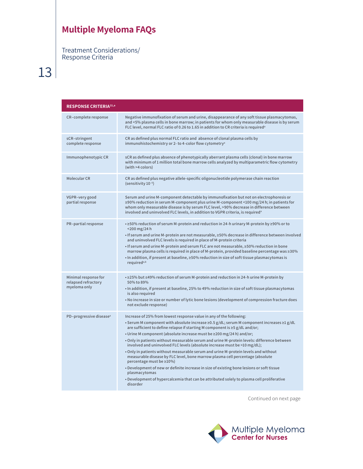Treatment Considerations/ Response Criteria

13

| <b>RESPONSE CRITERIA<sup>21,a</sup></b>                     |                                                                                                                                                                                                                                                                                                                                                                                                                                                                                                                                                                                                                                                                                                                                                                                                                                                                                                                                                  |
|-------------------------------------------------------------|--------------------------------------------------------------------------------------------------------------------------------------------------------------------------------------------------------------------------------------------------------------------------------------------------------------------------------------------------------------------------------------------------------------------------------------------------------------------------------------------------------------------------------------------------------------------------------------------------------------------------------------------------------------------------------------------------------------------------------------------------------------------------------------------------------------------------------------------------------------------------------------------------------------------------------------------------|
| CR-complete response                                        | Negative immunofixation of serum and urine, disappearance of any soft tissue plasmacytomas,<br>and <5% plasma cells in bone marrow; in patients for whom only measurable disease is by serum<br>FLC level, normal FLC ratio of 0.26 to 1.65 in addition to CR criteria is required <sup>a</sup>                                                                                                                                                                                                                                                                                                                                                                                                                                                                                                                                                                                                                                                  |
| sCR-stringent<br>complete response                          | CR as defined plus normal FLC ratio and absence of clonal plasma cells by<br>immunohistochemistry or 2- to 4-color flow cytometry <sup>a</sup>                                                                                                                                                                                                                                                                                                                                                                                                                                                                                                                                                                                                                                                                                                                                                                                                   |
| Immunophenotypic CR                                         | sCR as defined plus absence of phenotypically aberrant plasma cells (clonal) in bone marrow<br>with minimum of 1 million total bone marrow cells analyzed by multiparametric flow cytometry<br>(with >4 colors)                                                                                                                                                                                                                                                                                                                                                                                                                                                                                                                                                                                                                                                                                                                                  |
| Molecular CR                                                | CR as defined plus negative allele-specific oligonucleotide polymerase chain reaction<br>(sensitivity 10-5)                                                                                                                                                                                                                                                                                                                                                                                                                                                                                                                                                                                                                                                                                                                                                                                                                                      |
| VGPR-very good<br>partial response                          | Serum and urine M-component detectable by immunofixation but not on electrophoresis or<br>≥90% reduction in serum M-component plus urine M-component <100 mg/24 h; in patients for<br>whom only measurable disease is by serum FLC level, >90% decrease in difference between<br>involved and uninvolved FLC levels, in addition to VGPR criteria, is required <sup>a</sup>                                                                                                                                                                                                                                                                                                                                                                                                                                                                                                                                                                      |
| PR-partial response                                         | • ≥50% reduction of serum M-protein and reduction in 24-h urinary M-protein by ≥90% or to<br>$<$ 200 mg/24 h<br>• If serum and urine M-protein are not measurable, ≥50% decrease in difference between involved<br>and uninvolved FLC levels is required in place of M-protein criteria<br>• If serum and urine M-protein and serum FLC are not measurable, ≥50% reduction in bone<br>marrow plasma cells is required in place of M-protein, provided baseline percentage was $\geq$ 30%<br>• In addition, if present at baseline, ≥50% reduction in size of soft tissue plasmacytomas is<br>required <sup>a,b</sup>                                                                                                                                                                                                                                                                                                                             |
| Minimal response for<br>relapsed refractory<br>myeloma only | • ≥25% but ≤49% reduction of serum M-protein and reduction in 24-h urine M-protein by<br>50% to 89%<br>. In addition, if present at baseline, 25% to 49% reduction in size of soft tissue plasmacytomas<br>is also required<br>. No increase in size or number of lytic bone lesions (development of compression fracture does<br>not exclude response)                                                                                                                                                                                                                                                                                                                                                                                                                                                                                                                                                                                          |
| PD-progressive disease <sup>a</sup>                         | Increase of 25% from lowest response value in any of the following:<br>• Serum M component with absolute increase $\geq 0.5$ g/dL; serum M component increases $\geq 1$ g/dL<br>are sufficient to define relapse if starting M component is ≥5 g/dL and/or;<br>• Urine M component (absolute increase must be $\geq$ 200 mg/24 h) and/or;<br>. Only in patients without measurable serum and urine M-protein levels: difference between<br>involved and uninvolved FLC levels (absolute increase must be $>10$ mg/dL);<br>. Only in patients without measurable serum and urine M-protein levels and without<br>measurable disease by FLC level, bone marrow plasma cell percentage (absolute<br>percentage must be ≥10%)<br>. Development of new or definite increase in size of existing bone lesions or soft tissue<br>plasmacytomas<br>• Development of hypercalcemia that can be attributed solely to plasma cell proliferative<br>disorder |

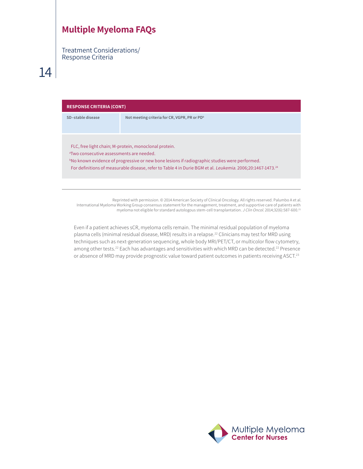Treatment Considerations/ Response Criteria

# 14

| <b>RESPONSE CRITERIA (CONT)</b>                                                                                                                                                                                                                                                                                                          |                                                          |  |  |
|------------------------------------------------------------------------------------------------------------------------------------------------------------------------------------------------------------------------------------------------------------------------------------------------------------------------------------------|----------------------------------------------------------|--|--|
| SD-stable disease                                                                                                                                                                                                                                                                                                                        | Not meeting criteria for CR, VGPR, PR or PD <sup>b</sup> |  |  |
|                                                                                                                                                                                                                                                                                                                                          |                                                          |  |  |
| FLC, free light chain; M-protein, monoclonal protein.<br><sup>a</sup> Two consecutive assessments are needed.<br>bNo known evidence of progressive or new bone lesions if radiographic studies were performed.<br>For definitions of measurable disease, refer to Table 4 in Durie BGM et al. Leukemia. 2006;20:1467-1473. <sup>24</sup> |                                                          |  |  |

Reprinted with permission. © 2014 American Society of Clinical Oncology. All rights reserved. Palumbo A et al. International Myeloma Working Group consensus statement for the management, treatment, and supportive care of patients with myeloma not eligible for standard autologous stem-cell transplantation. J Clin Oncol. 2014;32(6):587-600.<sup>21</sup>

Even if a patient achieves sCR, myeloma cells remain. The minimal residual population of myeloma plasma cells (minimal residual disease, MRD) results in a relapse.<sup>22</sup> Clinicians may test for MRD using techniques such as next-generation sequencing, whole body MRI/PET/CT, or multicolor flow cytometry, among other tests.22 Each has advantages and sensitivities with which MRD can be detected.22 Presence or absence of MRD may provide prognostic value toward patient outcomes in patients receiving ASCT.<sup>23</sup>

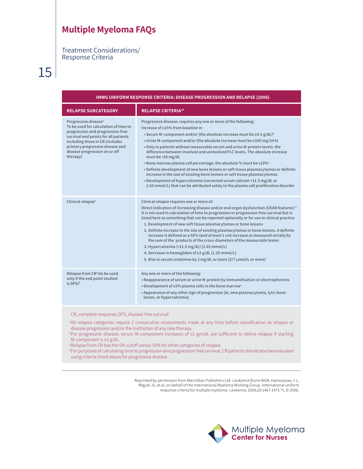Treatment Considerations/ Response Criteria

15

| IMWG UNIFORM RESPONSE CRITERIA: DISEASE PROGRESSION AND RELAPSE (2006)                                                                                                                                                                                                                                                                                           |                                                                                                                                                                                                                                                                                                                                                                                                                                                                                                                                                                                                                                                                                                                                                                                                                                                                                            |  |  |  |
|------------------------------------------------------------------------------------------------------------------------------------------------------------------------------------------------------------------------------------------------------------------------------------------------------------------------------------------------------------------|--------------------------------------------------------------------------------------------------------------------------------------------------------------------------------------------------------------------------------------------------------------------------------------------------------------------------------------------------------------------------------------------------------------------------------------------------------------------------------------------------------------------------------------------------------------------------------------------------------------------------------------------------------------------------------------------------------------------------------------------------------------------------------------------------------------------------------------------------------------------------------------------|--|--|--|
| <b>RELAPSE SUBCATEGORY</b>                                                                                                                                                                                                                                                                                                                                       | <b>RELAPSE CRITERIA<sup>24</sup></b>                                                                                                                                                                                                                                                                                                                                                                                                                                                                                                                                                                                                                                                                                                                                                                                                                                                       |  |  |  |
| Progressive disease <sup>a</sup><br>To be used for calculation of time to<br>progression and progression-free<br>survival end points for all patients<br>including those in CR (includes<br>primary progressive disease and<br>disease progression on or off<br>therapy)                                                                                         | Progressive disease: requires any one or more of the following:<br>Increase of ≥25% from baseline in<br>• Serum M-component and/or (the absolute increase must be $\geq$ 0.5 g/dL) <sup>b</sup><br>• Urine M-component and/or (the absolute increase must be ≥200 mg/24 h)<br>. Only in patients without measurable serum and urine M-protein levels: the<br>difference between involved and uninvolved FLC levels. The absolute increase<br>must be $>10$ mg/dL<br>• Bone marrow plasma cell percentage: the absolute % must be $\geq$ 10% $\circ$<br>• Definite development of new bone lesions or soft tissue plasmacytomas or definite<br>increase in the size of existing bone lesions or soft tissue plasmacytomas<br>. Development of hypercalcemia (corrected serum calcium >11.5 mg/dL or<br>2.65 mmol/L) that can be attributed solely to the plasma cell proliferative disorder |  |  |  |
| Clinical relapse <sup>a</sup>                                                                                                                                                                                                                                                                                                                                    | Clinical relapse requires one or more of:<br>Direct indicators of increasing disease and/or end organ dysfunction (CRAB features). <sup>b</sup><br>It is not used in calculation of time to progression or progression-free survival but is<br>listed here as something that can be reported optionally or for use in clinical practice<br>1. Development of new soft tissue plasmacytomas or bone lesions<br>2. Definite increase in the size of existing plasmacytomas or bone lesions. A definite<br>increase is defined as a 50% (and at least 1 cm) increase as measured serially by<br>the sum of the products of the cross-diameters of the measurable lesion<br>3. Hypercalcemia (>11.5 mg/dL) [2.65 mmol/L]<br>4. Decrease in hemoglobin of ≥2 g/dL [1.25 mmol/L]<br>5. Rise in serum creatinine by 2 mg/dL or more [177 µmol/L or more]                                          |  |  |  |
| Relapse from CR <sup>a</sup> (to be used<br>only if the end point studied<br>is DFS) <sup>d</sup>                                                                                                                                                                                                                                                                | Any one or more of the following:<br>• Reappearance of serum or urine M-protein by immunofixation or electrophoresis<br>• Development of $\geq$ 5% plasma cells in the bone marrow <sup>c</sup><br>• Appearance of any other sign of progression (ie, new plasmacytoma, lytic bone<br>lesion, or hypercalcemia)                                                                                                                                                                                                                                                                                                                                                                                                                                                                                                                                                                            |  |  |  |
| CR, complete response; DFS, disease-free survival.<br>all relapse categories require 2 consecutive assessments made at any time before classification as relapse or<br>disease progression and/or the institution of any new therapy.<br>$b$ For progressive disease, serum M-component increases of $\geq 1$ gm/dL are sufficient to define relapse if starting |                                                                                                                                                                                                                                                                                                                                                                                                                                                                                                                                                                                                                                                                                                                                                                                                                                                                                            |  |  |  |

M-component is ≥5 g/dL.

c Relapse from CR has the 5% cutoff versus 10% for other categories of relapse.

d For purposes of calculating time to progression and progression-free survival, CR patients should also be evaluated using criteria listed above for progressive disease.

> Reprinted by permission from Macmillan Publishers Ltd: Leukemia (Durie BGM, Harousseau J-L, Miguel JS, et al, on behalf of the International Myeloma Working Group. International uniform response criteria for multiple myeloma. *Leukemia*. 2006;20:1467-1473.<sup>24</sup>), © 2006.

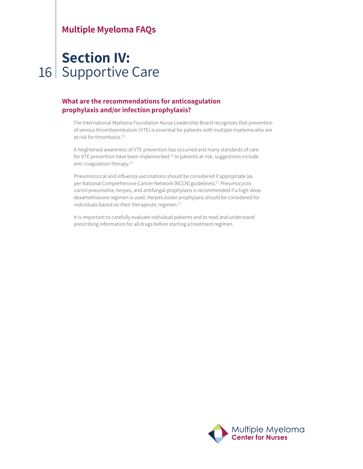# 16 Supportive Care**Section IV:**

### **What are the recommendations for anticoagulation prophylaxis and/or infection prophylaxis?**

The International Myeloma Foundation Nurse Leadership Board recognizes that prevention of venous thromboembolism (VTE) is essential for patients with multiple myeloma who are at risk for thrombosis.<sup>25</sup>

A heightened awareness of VTE prevention has occurred and many standards of care for VTE prevention have been implemented.<sup>25</sup> In patients at risk, suggestions include anti-coagulation therapy.25

Pneumococcal and influenza vaccinations should be considered if appropriate (as per National Comprehensive Cancer Network [NCCN] guidelines).<sup>11</sup> Pneumocystis carinii pneumonia, herpes, and antifungal prophylaxis is recommended if a high-dose dexamethasone regimen is used. Herpes zoster prophylaxis should be considered for individuals based on their therapeutic regimen.<sup>11</sup>

It is important to carefully evaluate individual patients and to read and understand prescribing information for all drugs before starting a treatment regimen.

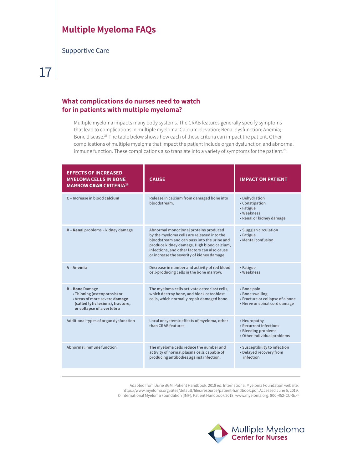Supportive Care

# 17

### **What complications do nurses need to watch for in patients with multiple myeloma?**

Multiple myeloma impacts many body systems. The CRAB features generally specify symptoms that lead to complications in multiple myeloma: Calcium elevation; Renal dysfunction; Anemia; Bone disease.<sup>26</sup> The table below shows how each of these criteria can impact the patient. Other complications of multiple myeloma that impact the patient include organ dysfunction and abnormal immune function. These complications also translate into a variety of symptoms for the patient.<sup>26</sup>

| <b>EFFECTS OF INCREASED</b><br><b>MYELOMA CELLS IN BONE</b><br><b>MARROW CRAB CRITERIA<sup>26</sup></b>                                                 | <b>CAUSE</b>                                                                                                                                                                                                                                                                   | <b>IMPACT ON PATIENT</b>                                                                            |
|---------------------------------------------------------------------------------------------------------------------------------------------------------|--------------------------------------------------------------------------------------------------------------------------------------------------------------------------------------------------------------------------------------------------------------------------------|-----------------------------------------------------------------------------------------------------|
| C - Increase in blood calcium                                                                                                                           | Release in calcium from damaged bone into<br>bloodstream.                                                                                                                                                                                                                      | • Dehydration<br>• Constipation<br>• Fatigue<br>• Weakness<br>• Renal or kidney damage              |
| R - Renal problems - kidney damage                                                                                                                      | Abnormal monoclonal proteins produced<br>by the myeloma cells are released into the<br>bloodstream and can pass into the urine and<br>produce kidney damage. High blood calcium,<br>infections, and other factors can also cause<br>or increase the severity of kidney damage. | • Sluggish circulation<br>• Fatigue<br>• Mental confusion                                           |
| A - Anemia                                                                                                                                              | Decrease in number and activity of red blood<br>cell-producing cells in the bone marrow.                                                                                                                                                                                       | • Fatigue<br>• Weakness                                                                             |
| <b>B-Bone</b> Damage<br>• Thinning (osteoporosis) or<br>• Areas of more severe damage<br>(called lytic lesions), fracture,<br>or collapse of a vertebra | The myeloma cells activate osteoclast cells,<br>which destroy bone, and block osteoblast<br>cells, which normally repair damaged bone.                                                                                                                                         | • Bone pain<br>• Bone swelling<br>• Fracture or collapse of a bone<br>• Nerve or spinal cord damage |
| Additional types of organ dysfunction                                                                                                                   | Local or systemic effects of myeloma, other<br>than CRAB features.                                                                                                                                                                                                             | • Neuropathy<br>• Recurrent infections<br>• Bleeding problems<br>• Other individual problems        |
| Abnormal immune function                                                                                                                                | The myeloma cells reduce the number and<br>activity of normal plasma cells capable of<br>producing antibodies against infection.                                                                                                                                               | • Susceptibility to infection<br>• Delayed recovery from<br>infection                               |

Adapted from Durie BGM. Patient Handbook. 2018 ed. International Myeloma Foundation website: https://www.myeloma.org/sites/default/files/resource/patient-handbook.pdf. Accessed June 5, 2019. © International Myeloma Foundation (IMF), Patient Handbook 2018, www.myeloma.org. 800-452-CURE.<sup>26</sup>

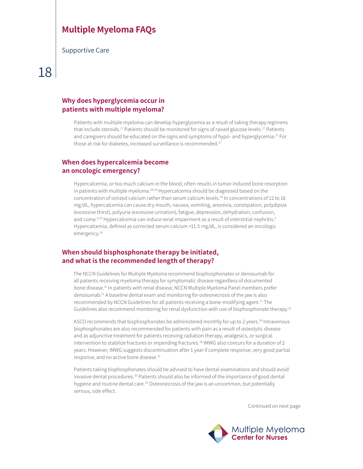Supportive Care

# 18

### **Why does hyperglycemia occur in patients with multiple myeloma?**

Patients with multiple myeloma can develop hyperglycemia as a result of taking therapy regimens that include steroids.<sup>27</sup> Patients should be monitored for signs of raised glucose levels.<sup>27</sup> Patients and caregivers should be educated on the signs and symptoms of hypo- and hyperglycemia.<sup>27</sup> For those at risk for diabetes, increased surveillance is recommended.<sup>27</sup>

### **When does hypercalcemia become an oncologic emergency?**

Hypercalcemia, or too much calcium in the blood, often results in tumor-induced bone resorption in patients with multiple myeloma.<sup>28,29</sup> Hypercalcemia should be diagnosed based on the concentration of ionized calcium rather than serum calcium levels.<sup>29</sup> In concentrations of 12 to 16 mg/dL, hypercalcemia can cause dry mouth, nausea, vomiting, anorexia, constipation, polydipsia (excessive thirst), polyuria (excessive urination), fatigue, depression, dehydration, confusion, and coma.<sup>4,29</sup> Hypercalcemia can induce renal impairment as a result of interstitial nephritis.<sup>4</sup> Hypercalcemia, defined as corrected serum calcium >11.5 mg/dL, is considered an oncologic emergency.<sup>19</sup>

### **When should bisphosphonate therapy be initiated, and what is the recommended length of therapy?**

The NCCN Guidelines for Multiple Myeloma recommend bisphosphonates or denosumab for all patients receiving myeloma therapy for symptomatic disease regardless of documented bone disease.11 In patients with renal disease, NCCN Multiple Myeloma Panel members prefer denosumab.11 A baseline dental exam and monitoring for osteonecrosis of the jaw is also recommended by NCCN Guidelines for all patients receiving a bone-modifying agent.<sup>11</sup> The Guidelines also recommend monitoring for renal dysfunction with use of bisphosphonate therapy.<sup>11</sup>

ASCO recommends that bisphosphonates be administered monthly for up to 2 years.<sup>30</sup> Intravenous bisphosphonates are also recommended for patients with pain as a result of osteolytic disease and as adjunctive treatment for patients receiving radiation therapy, analgesics, or surgical intervention to stabilize fractures or impending fractures.<sup>30</sup> IMWG also concurs for a duration of 2 years. However, IMWG suggests discontinuation after 1 year if complete response, very good partial response, and no active bone disease.<sup>31</sup>

Patients taking bisphosphonates should be advised to have dental examinations and should avoid invasive dental procedures.30 Patients should also be informed of the importance of good dental hygiene and routine dental care.<sup>30</sup> Osteonecrosis of the jaw is an uncommon, but potentially serious, side effect.

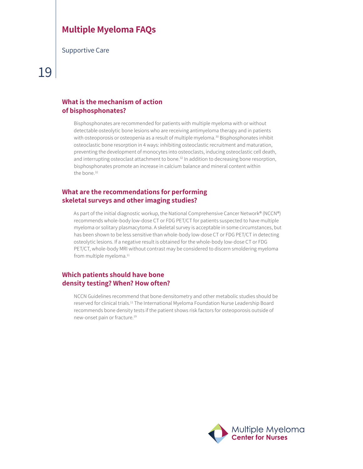Supportive Care

### **What is the mechanism of action of bisphosphonates?**

Bisphosphonates are recommended for patients with multiple myeloma with or without detectable osteolytic bone lesions who are receiving antimyeloma therapy and in patients with osteoporosis or osteopenia as a result of multiple myeloma.<sup>30</sup> Bisphosphonates inhibit osteoclastic bone resorption in 4 ways: inhibiting osteoclastic recruitment and maturation, preventing the development of monocytes into osteoclasts, inducing osteoclastic cell death, and interrupting osteoclast attachment to bone.<sup>32</sup> In addition to decreasing bone resorption, bisphosphonates promote an increase in calcium balance and mineral content within the bone.<sup>32</sup>

### **What are the recommendations for performing skeletal surveys and other imaging studies?**

As part of the initial diagnostic workup, the National Comprehensive Cancer Network® (NCCN®) recommends whole-body low-dose CT or FDG PET/CT for patients suspected to have multiple myeloma or solitary plasmacytoma. A skeletal survey is acceptable in some circumstances, but has been shown to be less sensitive than whole-body low-dose CT or FDG PET/CT in detecting osteolytic lesions. If a negative result is obtained for the whole-body low-dose CT or FDG PET/CT, whole-body MRI without contrast may be considered to discern smoldering myeloma from multiple myeloma.<sup>11</sup>

### **Which patients should have bone density testing? When? How often?**

NCCN Guidelines recommend that bone densitometry and other metabolic studies should be reserved for clinical trials.11 The International Myeloma Foundation Nurse Leadership Board recommends bone density tests if the patient shows risk factors for osteoporosis outside of new-onset pain or fracture.19

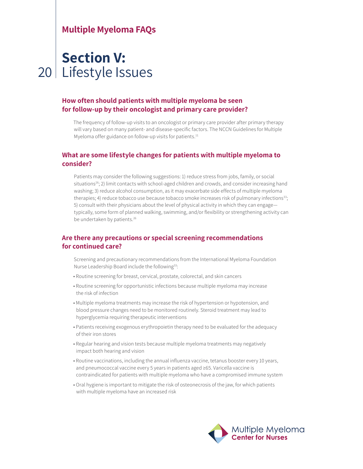# 20 Lifestyle Issues**Section V:**

### **How often should patients with multiple myeloma be seen for follow-up by their oncologist and primary care provider?**

The frequency of follow-up visits to an oncologist or primary care provider after primary therapy will vary based on many patient- and disease-specific factors. The NCCN Guidelines for Multiple Myeloma offer guidance on follow-up visits for patients.<sup>11</sup>

#### **What are some lifestyle changes for patients with multiple myeloma to consider?**

Patients may consider the following suggestions: 1) reduce stress from jobs, family, or social situations<sup>26</sup>; 2) limit contacts with school-aged children and crowds, and consider increasing hand washing; 3) reduce alcohol consumption, as it may exacerbate side effects of multiple myeloma therapies; 4) reduce tobacco use because tobacco smoke increases risk of pulmonary infections<sup>33</sup>; 5) consult with their physicians about the level of physical activity in which they can engage typically, some form of planned walking, swimming, and/or flexibility or strengthening activity can be undertaken by patients.<sup>26</sup>

### **Are there any precautions or special screening recommendations for continued care?**

Screening and precautionary recommendations from the International Myeloma Foundation Nurse Leadership Board include the following<sup>33</sup>:

- Routine screening for breast, cervical, prostate, colorectal, and skin cancers
- Routine screening for opportunistic infections because multiple myeloma may increase the risk of infection
- Multiple myeloma treatments may increase the risk of hypertension or hypotension, and blood pressure changes need to be monitored routinely. Steroid treatment may lead to hyperglycemia requiring therapeutic interventions
- Patients receiving exogenous erythropoietin therapy need to be evaluated for the adequacy of their iron stores
- Regular hearing and vision tests because multiple myeloma treatments may negatively impact both hearing and vision
- Routine vaccinations, including the annual influenza vaccine, tetanus booster every 10 years, and pneumococcal vaccine every 5 years in patients aged ≥65. Varicella vaccine is contraindicated for patients with multiple myeloma who have a compromised immune system
- Oral hygiene is important to mitigate the risk of osteonecrosis of the jaw, for which patients with multiple myeloma have an increased risk

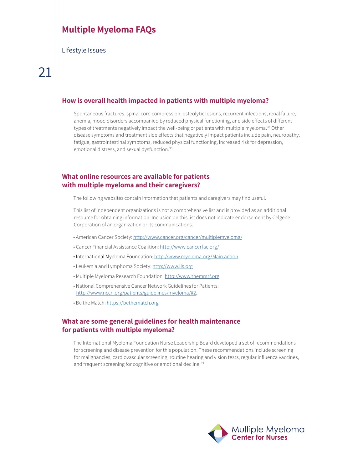Lifestyle Issues

### **How is overall health impacted in patients with multiple myeloma?**

Spontaneous fractures, spinal cord compression, osteolytic lesions, recurrent infections, renal failure, anemia, mood disorders accompanied by reduced physical functioning, and side effects of different types of treatments negatively impact the well-being of patients with multiple myeloma.<sup>34</sup> Other disease symptoms and treatment side effects that negatively impact patients include pain, neuropathy, fatigue, gastrointestinal symptoms, reduced physical functioning, increased risk for depression, emotional distress, and sexual dysfunction.<sup>35</sup>

### **What online resources are available for patients with multiple myeloma and their caregivers?**

The following websites contain information that patients and caregivers may find useful.

This list of independent organizations is not a comprehensive list and is provided as an additional resource for obtaining information. Inclusion on this list does not indicate endorsement by Celgene Corporation of an organization or its communications.

- American Cancer Society: http://www.cancer.org/cancer/multiplemyeloma/
- Cancer Financial Assistance Coalition: http://www.cancerfac.org/
- International Myeloma Foundation: http://www.myeloma.org/Main.action
- Leukemia and Lymphoma Society: http://www.lls.org
- Multiple Myeloma Research Foundation: http://www.themmrf.org
- National Comprehensive Cancer Network Guidelines for Patients: http://www.nccn.org/patients/guidelines/myeloma/#2,
- Be the Match: https://bethematch.org

### **What are some general guidelines for health maintenance for patients with multiple myeloma?**

The International Myeloma Foundation Nurse Leadership Board developed a set of recommendations for screening and disease prevention for this population. These recommendations include screening for malignancies, cardiovascular screening, routine hearing and vision tests, regular influenza vaccines, and frequent screening for cognitive or emotional decline.<sup>33</sup>

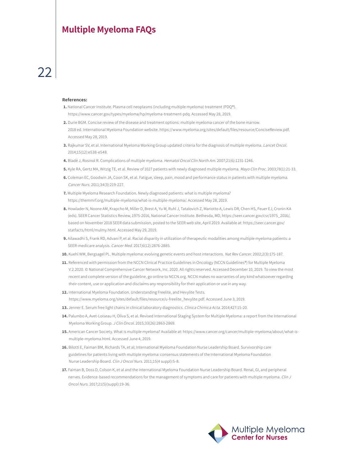#### **References:**

- **1.** National Cancer Institute. Plasma cell neoplasms (including multiple myeloma) treatment (PDQ®). https://www.cancer.gov/types/myeloma/hp/myeloma-treatment-pdq. Accessed May 28, 2019.
- **2.** Durie BGM. Concise review of the disease and treatment options: multiple myeloma cancer of the bone marrow. 2018 ed. International Myeloma Foundation website. https://www.myeloma.org/sites/default/files/resource/ConciseReview.pdf. Accessed May 28, 2019.
- **3.** Rajkumar SV, et al. International Myeloma Working Group updated criteria for the diagnosis of multiple myeloma. Lancet Oncol. 2014;15(12):e538-e548.
- **4.** Bladé J, Rosinol R. Complications of multiple myeloma. Hematol Oncol Clin North Am. 2007;21(6):1231-1246.
- **5.** Kyle RA, Gertz MA, Witzig TE, et al. Review of 1027 patients with newly diagnosed multiple myeloma. Mayo Clin Proc. 2003;78(1):21-33.
- **6.** Coleman EC, Goodwin JA, Coon SK, et al. Fatigue, sleep, pain, mood and performance status in patients with multiple myeloma. Cancer Nurs. 2011;34(3):219-227.
- **7.** Multiple Myeloma Research Foundation. Newly diagnosed patients: what is multiple myeloma? https://themmrf.org/multiple-myeloma/what-is-multiple-myeloma/. Accessed May 28, 2019.
- **8.** Howlader N, Noone AM, Krapcho M, Miller D, Brest A, Yu M, Ruhl J, Tatalovich Z, Mariotto A, Lewis DR, Chen HS, Feuer EJ, Cronin KA (eds). SEER Cancer Statistics Review, 1975-2016, National Cancer Institute. Bethesda, MD, https://seer.cancer.gov/csr/1975\_2016/, based on November 2018 SEER data submission, posted to the SEER web site, April 2019. Available at: https://seer.cancer.gov/ statfacts/html/mulmy.html. Accessed May 29, 2019.
- **9.** Ailawadhi S, Frank RD, Advani P, et al. Racial disparity in utilization of therapeutic modalities among multiple myeloma patients: a SEER-medicare analysis. Cancer Med. 2017;6(12):2876-2885.
- **10.** Kuehl WM, Bergsagel PL. Multiple myeloma: evolving genetic events and host interactions. Nat Rev Cancer. 2002;2(3):175-187.
- **11.** Referenced with permission from the NCCN Clinical Practice Guidelines in Oncology (NCCN Guidelines®) for Multiple Myeloma V.2.2020. © National Comprehensive Cancer Network, Inc. 2020. All rights reserved. Accessed December 10, 2019. To view the most recent and complete version of the guideline, go online to NCCN.org. NCCN makes no warranties of any kind whatsoever regarding their content, use or application and disclaims any responsibility for their application or use in any way.
- **12.** International Myeloma Foundation. Understanding Freelite, and Hevylite Tests. https://www.myeloma.org/sites/default/files/resource/u-freelite\_hevylite.pdf. Accessed June 3, 2019.
- **13.** Jenner E. Serum free light chains in clinical laboratory diagnostics. Clinica Chimica Acta. 2014;427:15-20.
- **14.** Palumbo A, Avet-Loiseau H, Oliva S, et al. Revised International Staging System for Multiple Myeloma: a report from the International Myeloma Working Group. J Clin Oncol. 2015;33(26):2863-2869.
- **15.** American Cancer Society. What is multiple myeloma? Available at: https://www.cancer.org/cancer/multiple-myeloma/about/what-ismultiple-myeloma.html. Accessed June 4, 2019.
- **16.** Bilotti E, Faiman BM, Richards TA, et al; International Myeloma Foundation Nurse Leadership Board. Survivorship care guidelines for patients living with multiple myeloma: consensus statements of the International Myeloma Foundation Nurse Leadership Board. Clin J Oncol Nurs. 2011;15(4 suppl):5-8.
- **17.** Faiman B, Doss D, Colson K, et al and the International Myeloma Foundation Nurse Leadership Board. Renal, GI, and peripheral nerves. Evidence-based recommendations for the management of symptoms and care for patients with multiple myeloma. Clin J Oncol Nurs. 2017;21(5)(suppl):19-36.